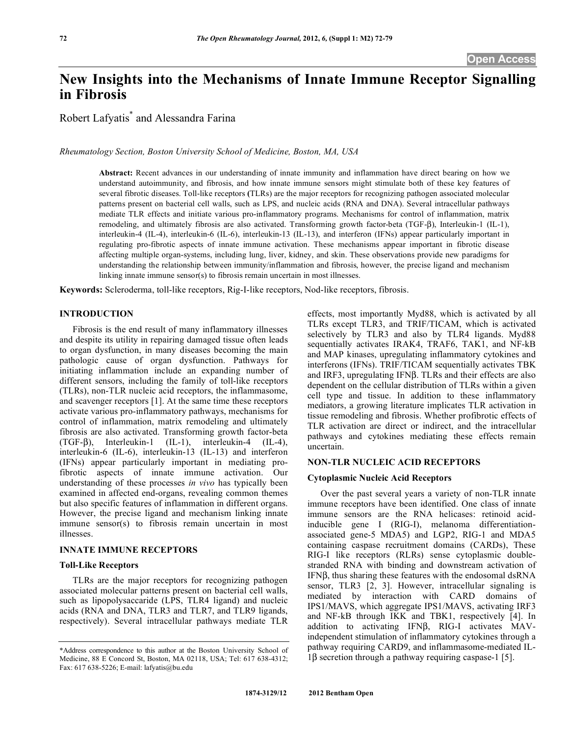# **New Insights into the Mechanisms of Innate Immune Receptor Signalling in Fibrosis**

Robert Lafyatis\* and Alessandra Farina

*Rheumatology Section, Boston University School of Medicine, Boston, MA, USA* 

**Abstract:** Recent advances in our understanding of innate immunity and inflammation have direct bearing on how we understand autoimmunity, and fibrosis, and how innate immune sensors might stimulate both of these key features of several fibrotic diseases. Toll-like receptors **(**TLRs) are the major receptors for recognizing pathogen associated molecular patterns present on bacterial cell walls, such as LPS, and nucleic acids (RNA and DNA). Several intracellular pathways mediate TLR effects and initiate various pro-inflammatory programs. Mechanisms for control of inflammation, matrix remodeling, and ultimately fibrosis are also activated. Transforming growth factor-beta (TGF- $\beta$ ), Interleukin-1 (IL-1), interleukin-4 (IL-4), interleukin-6 (IL-6), interleukin-13 (IL-13), and interferon (IFNs) appear particularly important in regulating pro-fibrotic aspects of innate immune activation. These mechanisms appear important in fibrotic disease affecting multiple organ-systems, including lung, liver, kidney, and skin. These observations provide new paradigms for understanding the relationship between immunity/inflammation and fibrosis, however, the precise ligand and mechanism linking innate immune sensor(s) to fibrosis remain uncertain in most illnesses.

**Keywords:** Scleroderma, toll-like receptors, Rig-I-like receptors, Nod-like receptors, fibrosis.

## **INTRODUCTION**

 Fibrosis is the end result of many inflammatory illnesses and despite its utility in repairing damaged tissue often leads to organ dysfunction, in many diseases becoming the main pathologic cause of organ dysfunction. Pathways for initiating inflammation include an expanding number of different sensors, including the family of toll-like receptors (TLRs), non-TLR nucleic acid receptors, the inflammasome, and scavenger receptors [1]. At the same time these receptors activate various pro-inflammatory pathways, mechanisms for control of inflammation, matrix remodeling and ultimately fibrosis are also activated. Transforming growth factor-beta  $(TGF- $\beta$ ), Interleukin-1 (IL-1), interleukin-4 (IL-4),$ interleukin-6 (IL-6), interleukin-13 (IL-13) and interferon (IFNs) appear particularly important in mediating profibrotic aspects of innate immune activation. Our understanding of these processes *in vivo* has typically been examined in affected end-organs, revealing common themes but also specific features of inflammation in different organs. However, the precise ligand and mechanism linking innate immune sensor(s) to fibrosis remain uncertain in most illnesses.

## **INNATE IMMUNE RECEPTORS**

## **Toll-Like Receptors**

 TLRs are the major receptors for recognizing pathogen associated molecular patterns present on bacterial cell walls, such as lipopolysaccaride (LPS, TLR4 ligand) and nucleic acids (RNA and DNA, TLR3 and TLR7, and TLR9 ligands, respectively). Several intracellular pathways mediate TLR

effects, most importantly Myd88, which is activated by all TLRs except TLR3, and TRIF/TICAM, which is activated selectively by TLR3 and also by TLR4 ligands. Myd88 sequentially activates IRAK4, TRAF6, TAK1, and NF-kB and MAP kinases, upregulating inflammatory cytokines and interferons (IFNs). TRIF/TICAM sequentially activates TBK and IRF3, upregulating IFN $\beta$ . TLRs and their effects are also dependent on the cellular distribution of TLRs within a given cell type and tissue. In addition to these inflammatory mediators, a growing literature implicates TLR activation in tissue remodeling and fibrosis. Whether profibrotic effects of TLR activation are direct or indirect, and the intracellular pathways and cytokines mediating these effects remain uncertain.

## **NON-TLR NUCLEIC ACID RECEPTORS**

#### **Cytoplasmic Nucleic Acid Receptors**

 Over the past several years a variety of non-TLR innate immune receptors have been identified. One class of innate immune sensors are the RNA helicases: retinoid acidinducible gene I (RIG-I), melanoma differentiationassociated gene-5 MDA5) and LGP2, RIG-1 and MDA5 containing caspase recruitment domains (CARDs), These RIG-I like receptors (RLRs) sense cytoplasmic doublestranded RNA with binding and downstream activation of IFNB, thus sharing these features with the endosomal dsRNA sensor, TLR3 [2, 3]. However, intracellular signaling is mediated by interaction with CARD domains of IPS1/MAVS, which aggregate IPS1/MAVS, activating IRF3 and NF-kB through IKK and TBK1, respectively [4]. In addition to activating IFN $\beta$ , RIG-I activates MAVindependent stimulation of inflammatory cytokines through a pathway requiring CARD9, and inflammasome-mediated IL- $1\beta$  secretion through a pathway requiring caspase-1 [5].

<sup>\*</sup>Address correspondence to this author at the Boston University School of Medicine, 88 E Concord St, Boston, MA 02118, USA; Tel: 617 638-4312; Fax: 617 638-5226; E-mail: lafyatis@bu.edu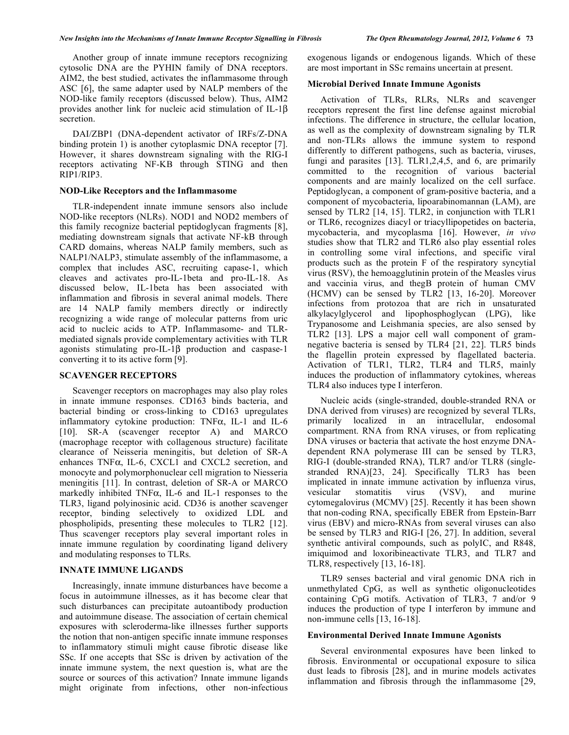Another group of innate immune receptors recognizing cytosolic DNA are the PYHIN family of DNA receptors. AIM2, the best studied, activates the inflammasome through ASC [6], the same adapter used by NALP members of the NOD-like family receptors (discussed below). Thus, AIM2 provides another link for nucleic acid stimulation of IL-1 $\beta$ secretion.

 DAI/ZBP1 (DNA-dependent activator of IRFs/Z-DNA binding protein 1) is another cytoplasmic DNA receptor [7]. However, it shares downstream signaling with the RIG-I receptors activating NF-KB through STING and then RIP1/RIP3.

## **NOD-Like Receptors and the Inflammasome**

 TLR-independent innate immune sensors also include NOD-like receptors (NLRs). NOD1 and NOD2 members of this family recognize bacterial peptidoglycan fragments [8], mediating downstream signals that activate NF-kB through CARD domains, whereas NALP family members, such as NALP1/NALP3, stimulate assembly of the inflammasome, a complex that includes ASC, recruiting capase-1, which cleaves and activates pro-IL-1beta and pro-IL-18. As discussed below, IL-1beta has been associated with inflammation and fibrosis in several animal models. There are 14 NALP family members directly or indirectly recognizing a wide range of molecular patterns from uric acid to nucleic acids to ATP. Inflammasome- and TLRmediated signals provide complementary activities with TLR agonists stimulating  $proj$ -IL-1 $\beta$  production and caspase-1 converting it to its active form [9].

# **SCAVENGER RECEPTORS**

 Scavenger receptors on macrophages may also play roles in innate immune responses. CD163 binds bacteria, and bacterial binding or cross-linking to CD163 upregulates inflammatory cytokine production: TNF $\alpha$ , IL-1 and IL-6 [10]. SR-A (scavenger receptor A) and MARCO (macrophage receptor with collagenous structure) facilitate clearance of Neisseria meningitis, but deletion of SR-A enhances  $TNF\alpha$ , IL-6, CXCL1 and CXCL2 secretion, and monocyte and polymorphonuclear cell migration to Niesseria meningitis [11]. In contrast, deletion of SR-A or MARCO markedly inhibited TNF $\alpha$ , IL-6 and IL-1 responses to the TLR3, ligand polyinosinic acid. CD36 is another scavenger receptor, binding selectively to oxidized LDL and phospholipids, presenting these molecules to TLR2 [12]. Thus scavenger receptors play several important roles in innate immune regulation by coordinating ligand delivery and modulating responses to TLRs.

# **INNATE IMMUNE LIGANDS**

 Increasingly, innate immune disturbances have become a focus in autoimmune illnesses, as it has become clear that such disturbances can precipitate autoantibody production and autoimmune disease. The association of certain chemical exposures with scleroderma-like illnesses further supports the notion that non-antigen specific innate immune responses to inflammatory stimuli might cause fibrotic disease like SSc. If one accepts that SSc is driven by activation of the innate immune system, the next question is, what are the source or sources of this activation? Innate immune ligands might originate from infections, other non-infectious

exogenous ligands or endogenous ligands. Which of these are most important in SSc remains uncertain at present.

# **Microbial Derived Innate Immune Agonists**

 Activation of TLRs, RLRs, NLRs and scavenger receptors represent the first line defense against microbial infections. The difference in structure, the cellular location, as well as the complexity of downstream signaling by TLR and non-TLRs allows the immune system to respond differently to different pathogens, such as bacteria, viruses, fungi and parasites [13]. TLR1,2,4,5, and 6, are primarily committed to the recognition of various bacterial components and are mainly localized on the cell surface. Peptidoglycan, a component of gram-positive bacteria, and a component of mycobacteria, lipoarabinomannan (LAM), are sensed by TLR2 [14, 15]. TLR2, in conjunction with TLR1 or TLR6, recognizes diacyl or triacyllipopetides on bacteria, mycobacteria, and mycoplasma [16]. However, *in vivo* studies show that TLR2 and TLR6 also play essential roles in controlling some viral infections, and specific viral products such as the protein F of the respiratory syncytial virus (RSV), the hemoagglutinin protein of the Measles virus and vaccinia virus, and thegB protein of human CMV (HCMV) can be sensed by TLR2 [13, 16-20]. Moreover infections from protozoa that are rich in unsaturated alkylacylglycerol and lipophosphoglycan (LPG), like Trypanosome and Leishmania species, are also sensed by TLR2 [13]. LPS a major cell wall component of gramnegative bacteria is sensed by TLR4 [21, 22]. TLR5 binds the flagellin protein expressed by flagellated bacteria. Activation of TLR1, TLR2, TLR4 and TLR5, mainly induces the production of inflammatory cytokines, whereas TLR4 also induces type I interferon.

Nucleic acids (single-stranded, double-stranded RNA or DNA derived from viruses) are recognized by several TLRs, primarily localized in an intracellular, endosomal compartment. RNA from RNA viruses, or from replicating DNA viruses or bacteria that activate the host enzyme DNAdependent RNA polymerase III can be sensed by TLR3, RIG-I (double-stranded RNA), TLR7 and/or TLR8 (singlestranded RNA)[23, 24]. Specifically TLR3 has been implicated in innate immune activation by influenza virus, vesicular stomatitis virus (VSV), and murine cytomegalovirus (MCMV) [25]. Recently it has been shown that non-coding RNA, specifically EBER from Epstein-Barr virus (EBV) and micro-RNAs from several viruses can also be sensed by TLR3 and RIG-I [26, 27]. In addition, several synthetic antiviral compounds, such as polyIC, and R848, imiquimod and loxoribineactivate TLR3, and TLR7 and TLR8, respectively [13, 16-18].

TLR9 senses bacterial and viral genomic DNA rich in unmethylated CpG, as well as synthetic oligonucleotides containing CpG motifs. Activation of TLR3, 7 and/or 9 induces the production of type I interferon by immune and non-immune cells [13, 16-18].

## **Environmental Derived Innate Immune Agonists**

 Several environmental exposures have been linked to fibrosis. Environmental or occupational exposure to silica dust leads to fibrosis [28], and in murine models activates inflammation and fibrosis through the inflammasome [29,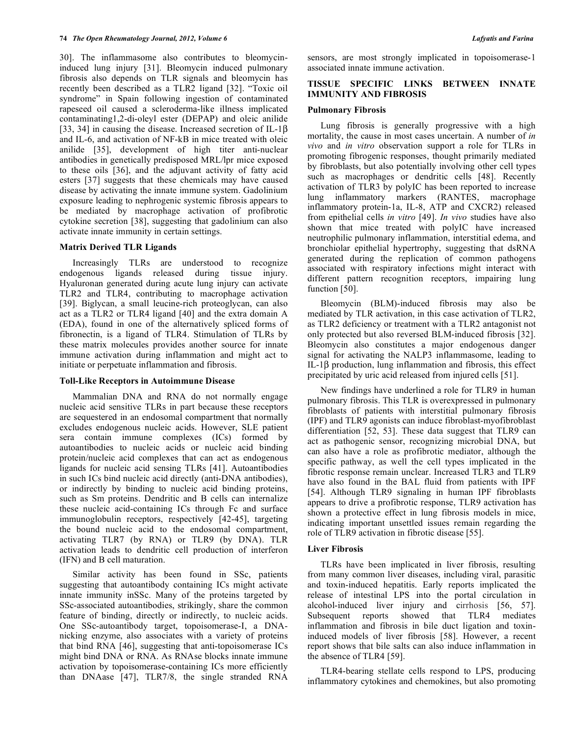30]. The inflammasome also contributes to bleomycininduced lung injury [31]. Bleomycin induced pulmonary fibrosis also depends on TLR signals and bleomycin has recently been described as a TLR2 ligand [32]. "Toxic oil syndrome" in Spain following ingestion of contaminated rapeseed oil caused a scleroderma-like illness implicated contaminating1,2-di-oleyl ester (DEPAP) and oleic anilide [33, 34] in causing the disease. Increased secretion of IL-1 $\beta$ and IL-6, and activation of NF-kB in mice treated with oleic anilide [35], development of high titer anti-nuclear antibodies in genetically predisposed MRL/lpr mice exposed to these oils [36], and the adjuvant activity of fatty acid esters [37] suggests that these chemicals may have caused disease by activating the innate immune system. Gadolinium exposure leading to nephrogenic systemic fibrosis appears to be mediated by macrophage activation of profibrotic cytokine secretion [38], suggesting that gadolinium can also activate innate immunity in certain settings.

# **Matrix Derived TLR Ligands**

 Increasingly TLRs are understood to recognize endogenous ligands released during tissue injury. Hyaluronan generated during acute lung injury can activate TLR2 and TLR4, contributing to macrophage activation [39]. Biglycan, a small leucine-rich proteoglycan, can also act as a TLR2 or TLR4 ligand [40] and the extra domain A (EDA), found in one of the alternatively spliced forms of fibronectin, is a ligand of TLR4. Stimulation of TLRs by these matrix molecules provides another source for innate immune activation during inflammation and might act to initiate or perpetuate inflammation and fibrosis.

## **Toll-Like Receptors in Autoimmune Disease**

 Mammalian DNA and RNA do not normally engage nucleic acid sensitive TLRs in part because these receptors are sequestered in an endosomal compartment that normally excludes endogenous nucleic acids. However, SLE patient sera contain immune complexes (ICs) formed by autoantibodies to nucleic acids or nucleic acid binding protein/nucleic acid complexes that can act as endogenous ligands for nucleic acid sensing TLRs [41]. Autoantibodies in such ICs bind nucleic acid directly (anti-DNA antibodies), or indirectly by binding to nucleic acid binding proteins, such as Sm proteins. Dendritic and B cells can internalize these nucleic acid-containing ICs through Fc and surface immunoglobulin receptors, respectively [42-45], targeting the bound nucleic acid to the endosomal compartment, activating TLR7 (by RNA) or TLR9 (by DNA). TLR activation leads to dendritic cell production of interferon (IFN) and B cell maturation.

 Similar activity has been found in SSc, patients suggesting that autoantibody containing ICs might activate innate immunity inSSc. Many of the proteins targeted by SSc-associated autoantibodies, strikingly, share the common feature of binding, directly or indirectly, to nucleic acids. One SSc-autoantibody target, topoisomerase-I, a DNAnicking enzyme, also associates with a variety of proteins that bind RNA [46], suggesting that anti-topoisomerase ICs might bind DNA or RNA. As RNAse blocks innate immune activation by topoisomerase-containing ICs more efficiently than DNAase [47], TLR7/8, the single stranded RNA

sensors, are most strongly implicated in topoisomerase-1 associated innate immune activation.

# **TISSUE SPECIFIC LINKS BETWEEN INNATE IMMUNITY AND FIBROSIS**

## **Pulmonary Fibrosis**

 Lung fibrosis is generally progressive with a high mortality, the cause in most cases uncertain. A number of *in vivo* and *in vitro* observation support a role for TLRs in promoting fibrogenic responses, thought primarily mediated by fibroblasts, but also potentially involving other cell types such as macrophages or dendritic cells [48]. Recently activation of TLR3 by polyIC has been reported to increase lung inflammatory markers (RANTES, macrophage inflammatory protein-1a, IL-8, ATP and CXCR2) released from epithelial cells *in vitro* [49]. *In vivo* studies have also shown that mice treated with polyIC have increased neutrophilic pulmonary inflammation, interstitial edema, and bronchiolar epithelial hypertrophy, suggesting that dsRNA generated during the replication of common pathogens associated with respiratory infections might interact with different pattern recognition receptors, impairing lung function [50].

 Bleomycin (BLM)-induced fibrosis may also be mediated by TLR activation, in this case activation of TLR2, as TLR2 deficiency or treatment with a TLR2 antagonist not only protected but also reversed BLM-induced fibrosis [32]. Bleomycin also constitutes a major endogenous danger signal for activating the NALP3 inflammasome, leading to  $IL-1\beta$  production, lung inflammation and fibrosis, this effect precipitated by uric acid released from injured cells [51].

 New findings have underlined a role for TLR9 in human pulmonary fibrosis. This TLR is overexpressed in pulmonary fibroblasts of patients with interstitial pulmonary fibrosis (IPF) and TLR9 agonists can induce fibroblast-myofibroblast differentiation [52, 53]. These data suggest that TLR9 can act as pathogenic sensor, recognizing microbial DNA, but can also have a role as profibrotic mediator, although the specific pathway, as well the cell types implicated in the fibrotic response remain unclear. Increased TLR3 and TLR9 have also found in the BAL fluid from patients with IPF [54]. Although TLR9 signaling in human IPF fibroblasts appears to drive a profibrotic response, TLR9 activation has shown a protective effect in lung fibrosis models in mice, indicating important unsettled issues remain regarding the role of TLR9 activation in fibrotic disease [55].

# **Liver Fibrosis**

 TLRs have been implicated in liver fibrosis, resulting from many common liver diseases, including viral, parasitic and toxin-induced hepatitis. Early reports implicated the release of intestinal LPS into the portal circulation in alcohol-induced liver injury and cirrhosis [56, 57]. Subsequent reports showed that TLR4 mediates inflammation and fibrosis in bile duct ligation and toxininduced models of liver fibrosis [58]. However, a recent report shows that bile salts can also induce inflammation in the absence of TLR4 [59].

 TLR4-bearing stellate cells respond to LPS, producing inflammatory cytokines and chemokines, but also promoting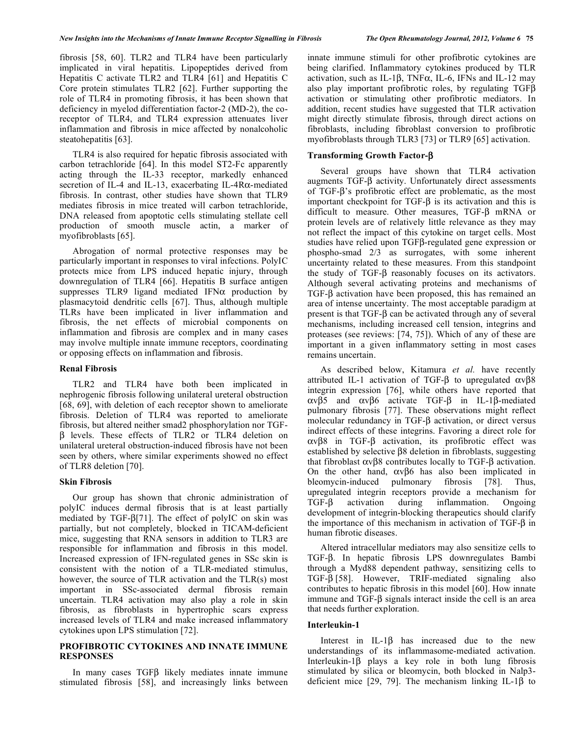fibrosis [58, 60]. TLR2 and TLR4 have been particularly implicated in viral hepatitis. Lipopeptides derived from Hepatitis C activate TLR2 and TLR4 [61] and Hepatitis C Core protein stimulates TLR2 [62]. Further supporting the role of TLR4 in promoting fibrosis, it has been shown that deficiency in myelod differentiation factor-2 (MD-2), the coreceptor of TLR4, and TLR4 expression attenuates liver inflammation and fibrosis in mice affected by nonalcoholic steatohepatitis [63].

 TLR4 is also required for hepatic fibrosis associated with carbon tetrachloride [64]. In this model ST2-Fc apparently acting through the IL-33 receptor, markedly enhanced secretion of IL-4 and IL-13, exacerbating IL-4R $\alpha$ -mediated fibrosis. In contrast, other studies have shown that TLR9 mediates fibrosis in mice treated will carbon tetrachloride, DNA released from apoptotic cells stimulating stellate cell production of smooth muscle actin, a marker of myofibroblasts [65].

 Abrogation of normal protective responses may be particularly important in responses to viral infections. PolyIC protects mice from LPS induced hepatic injury, through downregulation of TLR4 [66]. Hepatitis B surface antigen suppresses TLR9 ligand mediated IFN $\alpha$  production by plasmacytoid dendritic cells [67]. Thus, although multiple TLRs have been implicated in liver inflammation and fibrosis, the net effects of microbial components on inflammation and fibrosis are complex and in many cases may involve multiple innate immune receptors, coordinating or opposing effects on inflammation and fibrosis.

## **Renal Fibrosis**

 TLR2 and TLR4 have both been implicated in nephrogenic fibrosis following unilateral ureteral obstruction [68, 69], with deletion of each receptor shown to ameliorate fibrosis. Deletion of TLR4 was reported to ameliorate fibrosis, but altered neither smad2 phosphorylation nor TGF-  $\beta$  levels. These effects of TLR2 or TLR4 deletion on unilateral ureteral obstruction-induced fibrosis have not been seen by others, where similar experiments showed no effect of TLR8 deletion [70].

## **Skin Fibrosis**

 Our group has shown that chronic administration of polyIC induces dermal fibrosis that is at least partially mediated by TGF- $\beta$ [71]. The effect of polyIC on skin was partially, but not completely, blocked in TICAM-deficient mice, suggesting that RNA sensors in addition to TLR3 are responsible for inflammation and fibrosis in this model. Increased expression of IFN-regulated genes in SSc skin is consistent with the notion of a TLR-mediated stimulus, however, the source of TLR activation and the TLR(s) most important in SSc-associated dermal fibrosis remain uncertain. TLR4 activation may also play a role in skin fibrosis, as fibroblasts in hypertrophic scars express increased levels of TLR4 and make increased inflammatory cytokines upon LPS stimulation [72].

# **PROFIBROTIC CYTOKINES AND INNATE IMMUNE RESPONSES**

In many cases  $TGF\beta$  likely mediates innate immune stimulated fibrosis [58], and increasingly links between

innate immune stimuli for other profibrotic cytokines are being clarified. Inflammatory cytokines produced by TLR activation, such as IL-1 $\beta$ , TNF $\alpha$ , IL-6, IFNs and IL-12 may also play important profibrotic roles, by regulating  $TGF\beta$ activation or stimulating other profibrotic mediators. In addition, recent studies have suggested that TLR activation might directly stimulate fibrosis, through direct actions on fibroblasts, including fibroblast conversion to profibrotic myofibroblasts through TLR3 [73] or TLR9 [65] activation.

# **Transforming Growth Factor-β**

 Several groups have shown that TLR4 activation augments  $TGF- $\beta$  activity. Unfortunately direct assessments$ of TGF- $\beta$ 's profibrotic effect are problematic, as the most important checkpoint for TGF- $\beta$  is its activation and this is difficult to measure. Other measures,  $TGF- $\beta$  mRNA or$ protein levels are of relatively little relevance as they may not reflect the impact of this cytokine on target cells. Most studies have relied upon TGFß-regulated gene expression or phospho-smad 2/3 as surrogates, with some inherent uncertainty related to these measures. From this standpoint the study of TGF- $\beta$  reasonably focuses on its activators. Although several activating proteins and mechanisms of  $TGF- $\beta$  activation have been proposed, this has remained an$ area of intense uncertainty. The most acceptable paradigm at present is that  $TGF- $\beta$  can be activated through any of several$ mechanisms, including increased cell tension, integrins and proteases (see reviews: [74, 75]). Which of any of these are important in a given inflammatory setting in most cases remains uncertain.

 As described below, Kitamura *et al.* have recently attributed IL-1 activation of TGF- $\beta$  to upregulated  $\alpha v \beta 8$ integrin expression [76], while others have reported that  $\alpha v \beta 5$  and  $\alpha v \beta 6$  activate TGF- $\beta$  in IL-1 $\beta$ -mediated pulmonary fibrosis [77]. These observations might reflect molecular redundancy in TGF- $\beta$  activation, or direct versus indirect effects of these integrins. Favoring a direct role for  $\alpha v \beta$ 8 in TGF- $\beta$  activation, its profibrotic effect was established by selective  $\beta$ 8 deletion in fibroblasts, suggesting that fibroblast  $\alpha v \beta 8$  contributes locally to TGF- $\beta$  activation. On the other hand,  $\alpha v \beta 6$  has also been implicated in bleomycin-induced pulmonary fibrosis [78]. Thus, upregulated integrin receptors provide a mechanism for  $TGF- $\beta$$  activation during inflammation. Ongoing development of integrin-blocking therapeutics should clarify the importance of this mechanism in activation of  $TGF- $\beta$  in$ human fibrotic diseases.

 Altered intracellular mediators may also sensitize cells to TGF- $\beta$ . In hepatic fibrosis LPS downregulates Bambi through a Myd88 dependent pathway, sensitizing cells to  $TGF- $\beta$  [58]$ . However, TRIF-mediated signaling also contributes to hepatic fibrosis in this model [60]. How innate immune and  $TGF - \beta$  signals interact inside the cell is an area that needs further exploration.

## **Interleukin-1**

Interest in IL-1 $\beta$  has increased due to the new understandings of its inflammasome-mediated activation. Interleukin- $1\beta$  plays a key role in both lung fibrosis stimulated by silica or bleomycin, both blocked in Nalp3 deficient mice [29, 79]. The mechanism linking IL-1 $\beta$  to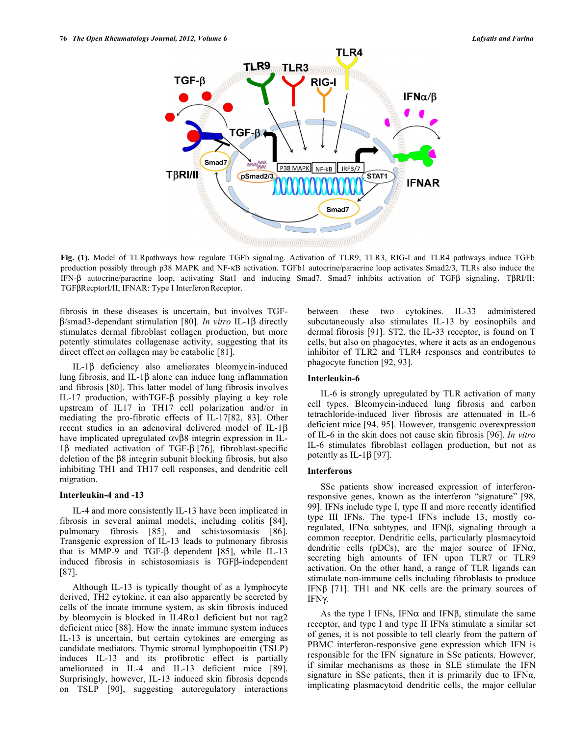

**Fig. (1).** Model of TLRpathways how regulate TGFb signaling. Activation of TLR9, TLR3, RIG-I and TLR4 pathways induce TGFb production possibly through p38 MAPK and NF-KB activation. TGFb1 autocrine/paracrine loop activates Smad2/3, TLRs also induce the IFN- $\beta$  autocrine/paracrine loop, activating Stat1 and inducing Smad7. Smad7 inhibits activation of TGF $\beta$  signaling. T $\beta$ RI/II: TGFβRecptorI/II, IFNAR: Type I Interferon Receptor.

fibrosis in these diseases is uncertain, but involves TGF-  $\beta$ /smad3-dependant stimulation [80]. *In vitro* IL-1 $\beta$  directly stimulates dermal fibroblast collagen production, but more potently stimulates collagenase activity, suggesting that its direct effect on collagen may be catabolic [81].

 $IL-1\beta$  deficiency also ameliorates bleomycin-induced lung fibrosis, and IL-1 $\beta$  alone can induce lung inflammation and fibrosis [80]. This latter model of lung fibrosis involves IL-17 production, with TGF- $\beta$  possibly playing a key role upstream of IL17 in TH17 cell polarization and/or in mediating the pro-fibrotic effects of IL-17[82, 83]. Other recent studies in an adenoviral delivered model of IL-1 $\beta$ have implicated upregulated  $\alpha v \beta$ 8 integrin expression in IL- $1\beta$  mediated activation of TGF- $\beta$  [76], fibroblast-specific deletion of the  $\beta$ 8 integrin subunit blocking fibrosis, but also inhibiting TH1 and TH17 cell responses, and dendritic cell migration.

## **Interleukin-4 and -13**

 IL-4 and more consistently IL-13 have been implicated in fibrosis in several animal models, including colitis [84], pulmonary fibrosis [85], and schistosomiasis [86]. Transgenic expression of IL-13 leads to pulmonary fibrosis that is MMP-9 and TGF- $\beta$  dependent [85], while IL-13 induced fibrosis in schistosomiasis is  $TGF\beta$ -independent [87].

 Although IL-13 is typically thought of as a lymphocyte derived, TH2 cytokine, it can also apparently be secreted by cells of the innate immune system, as skin fibrosis induced by bleomycin is blocked in IL4R $\alpha$ 1 deficient but not rag2 deficient mice [88]. How the innate immune system induces IL-13 is uncertain, but certain cytokines are emerging as candidate mediators. Thymic stromal lymphopoeitin (TSLP) induces IL-13 and its profibrotic effect is partially ameliorated in IL-4 and IL-13 deficient mice [89]. Surprisingly, however, IL-13 induced skin fibrosis depends on TSLP [90], suggesting autoregulatory interactions

between these two cytokines. IL-33 administered subcutaneously also stimulates IL-13 by eosinophils and dermal fibrosis [91]. ST2, the IL-33 receptor, is found on T cells, but also on phagocytes, where it acts as an endogenous inhibitor of TLR2 and TLR4 responses and contributes to phagocyte function [92, 93].

## **Interleukin-6**

 IL-6 is strongly upregulated by TLR activation of many cell types. Bleomycin-induced lung fibrosis and carbon tetrachloride-induced liver fibrosis are attenuated in IL-6 deficient mice [94, 95]. However, transgenic overexpression of IL-6 in the skin does not cause skin fibrosis [96]. *In vitro* IL-6 stimulates fibroblast collagen production, but not as potently as IL-1 $\beta$  [97].

#### **Interferons**

 SSc patients show increased expression of interferonresponsive genes, known as the interferon "signature" [98, 99]. IFNs include type I, type II and more recently identified type III IFNs. The type-I IFNs include 13, mostly coregulated, IFN $\alpha$  subtypes, and IFN $\beta$ , signaling through a common receptor. Dendritic cells, particularly plasmacytoid dendritic cells ( $pDCs$ ), are the major source of IFN $\alpha$ , secreting high amounts of IFN upon TLR7 or TLR9 activation. On the other hand, a range of TLR ligands can stimulate non-immune cells including fibroblasts to produce IFN $\beta$  [71]. TH1 and NK cells are the primary sources of IFN $\gamma$ .

As the type I IFNs, IFN $\alpha$  and IFN $\beta$ , stimulate the same receptor, and type I and type II IFNs stimulate a similar set of genes, it is not possible to tell clearly from the pattern of PBMC interferon-responsive gene expression which IFN is responsible for the IFN signature in SSc patients. However, if similar mechanisms as those in SLE stimulate the IFN signature in SSc patients, then it is primarily due to IFN $\alpha$ , implicating plasmacytoid dendritic cells, the major cellular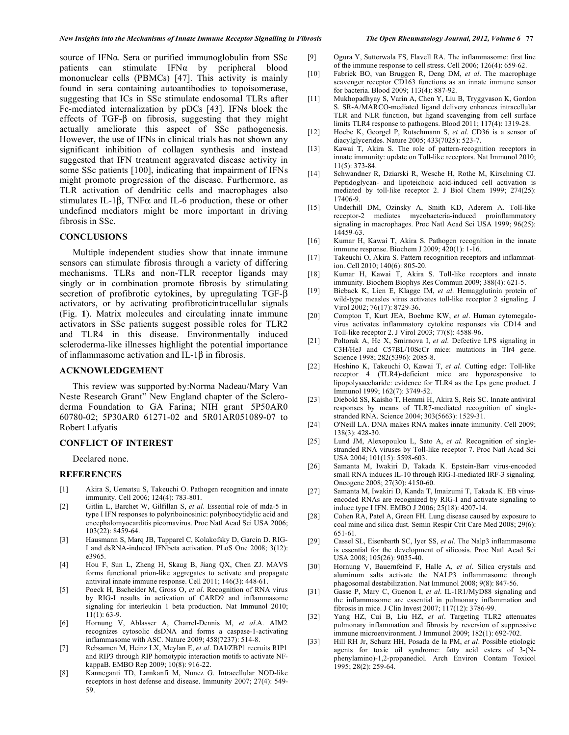source of IFN $\alpha$ . Sera or purified immunoglobulin from SSc patients can stimulate  $IFNa$  by peripheral blood mononuclear cells (PBMCs) [47]. This activity is mainly found in sera containing autoantibodies to topoisomerase, suggesting that ICs in SSc stimulate endosomal TLRs after Fc-mediated internalization by pDCs [43]. IFNs block the effects of TGF- $\beta$  on fibrosis, suggesting that they might actually ameliorate this aspect of SSc pathogenesis. However, the use of IFNs in clinical trials has not shown any significant inhibition of collagen synthesis and instead suggested that IFN treatment aggravated disease activity in some SSc patients [100], indicating that impairment of IFNs might promote progression of the disease. Furthermore, as TLR activation of dendritic cells and macrophages also stimulates IL-1 $\beta$ , TNF $\alpha$  and IL-6 production, these or other undefined mediators might be more important in driving fibrosis in SSc.

# **CONCLUSIONS**

 Multiple independent studies show that innate immune sensors can stimulate fibrosis through a variety of differing mechanisms. TLRs and non-TLR receptor ligands may singly or in combination promote fibrosis by stimulating secretion of profibrotic cytokines, by upregulating TGF- $\beta$ activators, or by activating profibroticintracellular signals (Fig. **1**). Matrix molecules and circulating innate immune activators in SSc patients suggest possible roles for TLR2 and TLR4 in this disease. Environmentally induced scleroderma-like illnesses highlight the potential importance of inflammasome activation and IL-1 $\beta$  in fibrosis.

## **ACKNOWLEDGEMENT**

 This review was supported by:Norma Nadeau/Mary Van Neste Research Grant" New England chapter of the Scleroderma Foundation to GA Farina; NIH grant 5P50AR0 60780-02; 5P30AR0 61271-02 and 5R01AR051089-07 to Robert Lafyatis

## **CONFLICT OF INTEREST**

Declared none.

## **REFERENCES**

- [1] Akira S, Uematsu S, Takeuchi O. Pathogen recognition and innate immunity. Cell 2006; 124(4): 783-801.
- [2] Gitlin L, Barchet W, Gilfillan S, *et al*. Essential role of mda-5 in type I IFN responses to polyriboinosinic: polyribocytidylic acid and encephalomyocarditis picornavirus. Proc Natl Acad Sci USA 2006; 103(22): 8459-64.
- [3] Hausmann S, Marq JB, Tapparel C, Kolakofsky D, Garcin D. RIG-I and dsRNA-induced IFNbeta activation. PLoS One 2008; 3(12): e3965.
- [4] Hou F, Sun L, Zheng H, Skaug B, Jiang QX, Chen ZJ. MAVS forms functional prion-like aggregates to activate and propagate antiviral innate immune response. Cell 2011; 146(3): 448-61.
- [5] Poeck H, Bscheider M, Gross O, *et al*. Recognition of RNA virus by RIG-I results in activation of CARD9 and inflammasome signaling for interleukin 1 beta production. Nat Immunol 2010;  $11(1): 63-9.$
- [6] Hornung V, Ablasser A, Charrel-Dennis M, *et al*.A. AIM2 recognizes cytosolic dsDNA and forms a caspase-1-activating inflammasome with ASC. Nature 2009; 458(7237): 514-8.
- [7] Rebsamen M, Heinz LX, Meylan E, *et al*. DAI/ZBP1 recruits RIP1 and RIP3 through RIP homotypic interaction motifs to activate NFkappaB. EMBO Rep 2009; 10(8): 916-22.
- [8] Kanneganti TD, Lamkanfi M, Nunez G. Intracellular NOD-like receptors in host defense and disease. Immunity 2007; 27(4): 549- 59.
- [9] Ogura Y, Sutterwala FS, Flavell RA. The inflammasome: first line of the immune response to cell stress. Cell 2006; 126(4): 659-62.
- [10] Fabriek BO, van Bruggen R, Deng DM, *et al*. The macrophage scavenger receptor CD163 functions as an innate immune sensor for bacteria. Blood 2009; 113(4): 887-92.
- [11] Mukhopadhyay S, Varin A, Chen Y, Liu B, Tryggvason K, Gordon S. SR-A/MARCO-mediated ligand delivery enhances intracellular TLR and NLR function, but ligand scavenging from cell surface limits TLR4 response to pathogens. Blood 2011; 117(4): 1319-28.
- [12] Hoebe K, Georgel P, Rutschmann S, *et al*. CD36 is a sensor of diacylglycerides. Nature 2005; 433(7025): 523-7.
- [13] Kawai T, Akira S. The role of pattern-recognition receptors in innate immunity: update on Toll-like receptors. Nat Immunol 2010; 11(5): 373-84.
- [14] Schwandner R, Dziarski R, Wesche H, Rothe M, Kirschning CJ. Peptidoglycan- and lipoteichoic acid-induced cell activation is mediated by toll-like receptor 2. J Biol Chem 1999; 274(25): 17406-9.
- [15] Underhill DM, Ozinsky A, Smith KD, Aderem A. Toll-like receptor-2 mediates mycobacteria-induced proinflammatory signaling in macrophages. Proc Natl Acad Sci USA 1999; 96(25): 14459-63.
- [16] Kumar H, Kawai T, Akira S. Pathogen recognition in the innate immune response. Biochem J 2009; 420(1): 1-16.
- [17] Takeuchi O, Akira S. Pattern recognition receptors and inflammation. Cell 2010; 140(6): 805-20.
- [18] Kumar H, Kawai T, Akira S. Toll-like receptors and innate immunity. Biochem Biophys Res Commun 2009; 388(4): 621-5.
- [19] Bieback K, Lien E, Klagge IM, *et al*. Hemagglutinin protein of wild-type measles virus activates toll-like receptor 2 signaling. J Virol 2002; 76(17): 8729-36.
- [20] Compton T, Kurt JEA, Boehme KW, *et al*. Human cytomegalovirus activates inflammatory cytokine responses via CD14 and Toll-like receptor 2. J Virol 2003; 77(8): 4588-96.
- [21] Poltorak A, He X, Smirnova I, *et al*. Defective LPS signaling in C3H/HeJ and C57BL/10ScCr mice: mutations in Tlr4 gene. Science 1998; 282(5396): 2085-8.
- [22] Hoshino K, Takeuchi O, Kawai T, *et al*. Cutting edge: Toll-like receptor 4 (TLR4)-deficient mice are hyporesponsive to lipopolysaccharide: evidence for TLR4 as the Lps gene product. J Immunol 1999; 162(7): 3749-52.
- [23] Diebold SS, Kaisho T, Hemmi H, Akira S, Reis SC. Innate antiviral responses by means of TLR7-mediated recognition of singlestranded RNA. Science 2004; 303(5663): 1529-31.
- [24] O'Neill LA. DNA makes RNA makes innate immunity. Cell 2009; 138(3): 428-30.
- [25] Lund JM, Alexopoulou L, Sato A, *et al*. Recognition of singlestranded RNA viruses by Toll-like receptor 7. Proc Natl Acad Sci USA 2004; 101(15): 5598-603.
- [26] Samanta M, Iwakiri D, Takada K. Epstein-Barr virus-encoded small RNA induces IL-10 through RIG-I-mediated IRF-3 signaling. Oncogene 2008; 27(30): 4150-60.
- [27] Samanta M, Iwakiri D, Kanda T, Imaizumi T, Takada K. EB virusencoded RNAs are recognized by RIG-I and activate signaling to induce type I IFN. EMBO J 2006; 25(18): 4207-14.
- [28] Cohen RA, Patel A, Green FH. Lung disease caused by exposure to coal mine and silica dust. Semin Respir Crit Care Med 2008; 29(6): 651-61.
- [29] Cassel SL, Eisenbarth SC, Iyer SS, *et al*. The Nalp3 inflammasome is essential for the development of silicosis. Proc Natl Acad Sci USA 2008; 105(26): 9035-40.
- [30] Hornung V, Bauernfeind F, Halle A, *et al*. Silica crystals and aluminum salts activate the NALP3 inflammasome through phagosomal destabilization. Nat Immunol 2008; 9(8): 847-56.
- [31] Gasse P, Mary C, Guenon I, *et al*. IL-1R1/MyD88 signaling and the inflammasome are essential in pulmonary inflammation and fibrosis in mice. J Clin Invest 2007; 117(12): 3786-99.
- [32] Yang HZ, Cui B, Liu HZ, *et al*. Targeting TLR2 attenuates pulmonary inflammation and fibrosis by reversion of suppressive immune microenvironment. J Immunol 2009; 182(1): 692-702.
- [33] Hill RH Jr, Schurz HH, Posada de la PM, *et al*. Possible etiologic agents for toxic oil syndrome: fatty acid esters of 3-(Nphenylamino)-1,2-propanediol. Arch Environ Contam Toxicol 1995; 28(2): 259-64.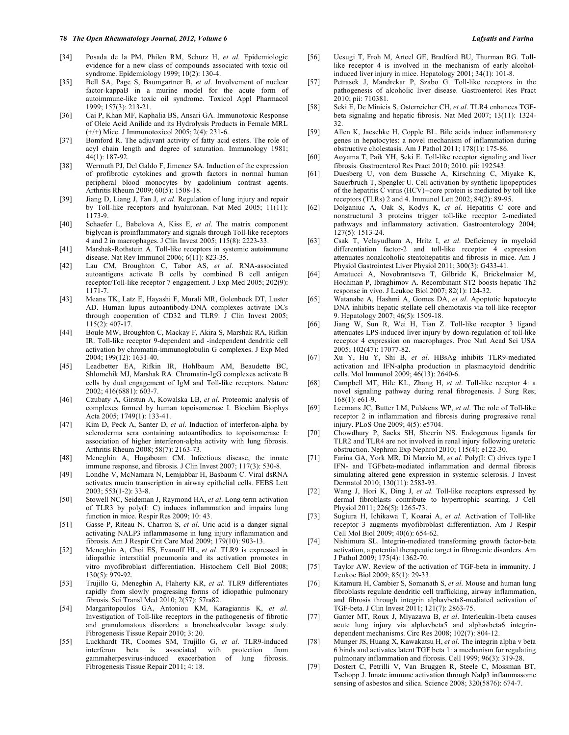- [34] Posada de la PM, Philen RM, Schurz H, *et al*. Epidemiologic evidence for a new class of compounds associated with toxic oil syndrome. Epidemiology 1999; 10(2): 130-4.
- [35] Bell SA, Page S, Baumgartner B, *et al*. Involvement of nuclear factor-kappaB in a murine model for the acute form of autoimmune-like toxic oil syndrome. Toxicol Appl Pharmacol 1999; 157(3): 213-21.
- [36] Cai P, Khan MF, Kaphalia BS, Ansari GA. Immunotoxic Response of Oleic Acid Anilide and its Hydrolysis Products in Female MRL (+/+) Mice. J Immunotoxicol 2005; 2(4): 231-6.
- [37] Bomford R. The adjuvant activity of fatty acid esters. The role of acyl chain length and degree of saturation. Immunology 1981; 44(1): 187-92.
- [38] Wermuth PJ, Del Galdo F, Jimenez SA. Induction of the expression of profibrotic cytokines and growth factors in normal human peripheral blood monocytes by gadolinium contrast agents. Arthritis Rheum 2009; 60(5): 1508-18.
- [39] Jiang D, Liang J, Fan J, *et al*. Regulation of lung injury and repair by Toll-like receptors and hyaluronan. Nat Med 2005; 11(11): 1173-9.
- [40] Schaefer L, Babelova A, Kiss E, *et al*. The matrix component biglycan is proinflammatory and signals through Toll-like receptors 4 and 2 in macrophages. J Clin Invest 2005; 115(8): 2223-33.
- [41] Marshak-Rothstein A. Toll-like receptors in systemic autoimmune disease. Nat Rev Immunol 2006; 6(11): 823-35.
- [42] Lau CM, Broughton C, Tabor AS, *et al*. RNA-associated autoantigens activate B cells by combined B cell antigen receptor/Toll-like receptor 7 engagement. J Exp Med 2005; 202(9): 1171-7.
- [43] Means TK, Latz E, Hayashi F, Murali MR, Golenbock DT, Luster AD. Human lupus autoantibody-DNA complexes activate DCs through cooperation of CD32 and TLR9. J Clin Invest 2005; 115(2): 407-17.
- [44] Boule MW, Broughton C, Mackay F, Akira S, Marshak RA, Rifkin IR. Toll-like receptor 9-dependent and -independent dendritic cell activation by chromatin-immunoglobulin G complexes. J Exp Med 2004; 199(12): 1631-40.
- [45] Leadbetter EA, Rifkin IR, Hohlbaum AM, Beaudette BC, Shlomchik MJ, Marshak RA. Chromatin-IgG complexes activate B cells by dual engagement of IgM and Toll-like receptors. Nature 2002; 416(6881): 603-7.
- [46] Czubaty A, Girstun A, Kowalska LB, *et al*. Proteomic analysis of complexes formed by human topoisomerase I. Biochim Biophys Acta 2005; 1749(1): 133-41.
- [47] Kim D, Peck A, Santer D, *et al*. Induction of interferon-alpha by scleroderma sera containing autoantibodies to topoisomerase I: association of higher interferon-alpha activity with lung fibrosis. Arthritis Rheum 2008; 58(7): 2163-73.
- [48] Meneghin A, Hogaboam CM. Infectious disease, the innate immune response, and fibrosis. J Clin Invest 2007; 117(3): 530-8.
- [49] Londhe V, McNamara N, Lemjabbar H, Basbaum C. Viral dsRNA activates mucin transcription in airway epithelial cells. FEBS Lett 2003; 553(1-2): 33-8.
- [50] Stowell NC, Seideman J, Raymond HA, *et al*. Long-term activation of TLR3 by poly(I: C) induces inflammation and impairs lung function in mice. Respir Res 2009; 10: 43.
- [51] Gasse P, Riteau N, Charron S, *et al*. Uric acid is a danger signal activating NALP3 inflammasome in lung injury inflammation and fibrosis. Am J Respir Crit Care Med 2009; 179(10): 903-13.
- [52] Meneghin A, Choi ES, Evanoff HL, *et al*. TLR9 is expressed in idiopathic interstitial pneumonia and its activation promotes in vitro myofibroblast differentiation. Histochem Cell Biol 2008; 130(5): 979-92.
- [53] Trujillo G, Meneghin A, Flaherty KR, *et al*. TLR9 differentiates rapidly from slowly progressing forms of idiopathic pulmonary fibrosis. Sci Transl Med 2010; 2(57): 57ra82.
- [54] Margaritopoulos GA, Antoniou KM, Karagiannis K, *et al*. Investigation of Toll-like receptors in the pathogenesis of fibrotic and granulomatous disorders: a bronchoalveolar lavage study. Fibrogenesis Tissue Repair 2010; 3: 20.
- [55] Luckhardt TR, Coomes SM, Trujillo G, *et al*. TLR9-induced interferon beta is associated with protection from gammaherpesvirus-induced exacerbation of lung fibrosis. Fibrogenesis Tissue Repair 2011; 4: 18.
- [56] Uesugi T, Froh M, Arteel GE, Bradford BU, Thurman RG. Tolllike receptor 4 is involved in the mechanism of early alcoholinduced liver injury in mice. Hepatology 2001; 34(1): 101-8.
- [57] Petrasek J, Mandrekar P, Szabo G. Toll-like receptors in the pathogenesis of alcoholic liver disease. Gastroenterol Res Pract 2010; pii: 710381.
- [58] Seki E, De Minicis S, Osterreicher CH, *et al*. TLR4 enhances TGFbeta signaling and hepatic fibrosis. Nat Med 2007; 13(11): 1324- 32.
- [59] Allen K, Jaeschke H, Copple BL. Bile acids induce inflammatory genes in hepatocytes: a novel mechanism of inflammation during obstructive cholestasis. Am J Pathol 2011; 178(1): 175-86.
- [60] Aoyama T, Paik YH, Seki E. Toll-like receptor signaling and liver fibrosis. Gastroenterol Res Pract 2010; 2010. pii: 192543.
- [61] Duesberg U, von dem Bussche A, Kirschning C, Miyake K, Sauerbruch T, Spengler U. Cell activation by synthetic lipopeptides of the hepatitis C virus (HCV)--core protein is mediated by toll like receptors (TLRs) 2 and 4. Immunol Lett 2002; 84(2): 89-95.
- [62] Dolganiuc A, Oak S, Kodys K, *et al*. Hepatitis C core and nonstructural 3 proteins trigger toll-like receptor 2-mediated pathways and inflammatory activation. Gastroenterology 2004; 127(5): 1513-24.
- [63] Csak T, Velayudham A, Hritz I, *et al*. Deficiency in myeloid differentiation factor-2 and toll-like receptor 4 expression attenuates nonalcoholic steatohepatitis and fibrosis in mice. Am J Physiol Gastrointest Liver Physiol 2011; 300(3): G433-41.
- [64] Amatucci A, Novobrantseva T, Gilbride K, Brickelmaier M, Hochman P, Ibraghimov A. Recombinant ST2 boosts hepatic Th2 response in vivo. J Leukoc Biol 2007; 82(1): 124-32.
- [65] Watanabe A, Hashmi A, Gomes DA, *et al*. Apoptotic hepatocyte DNA inhibits hepatic stellate cell chemotaxis via toll-like receptor 9. Hepatology 2007; 46(5): 1509-18.
- [66] Jiang W, Sun R, Wei H, Tian Z. Toll-like receptor 3 ligand attenuates LPS-induced liver injury by down-regulation of toll-like receptor 4 expression on macrophages. Proc Natl Acad Sci USA 2005; 102(47): 17077-82.
- [67] Xu Y, Hu Y, Shi B, *et al*. HBsAg inhibits TLR9-mediated activation and IFN-alpha production in plasmacytoid dendritic cells. Mol Immunol 2009; 46(13): 2640-6.
- [68] Campbell MT, Hile KL, Zhang H, *et al*. Toll-like receptor 4: a novel signaling pathway during renal fibrogenesis. J Surg Res; 168(1): e61-9.
- [69] Leemans JC, Butter LM, Pulskens WP, *et al*. The role of Toll-like receptor 2 in inflammation and fibrosis during progressive renal injury. PLoS One 2009; 4(5): e5704.
- [70] Chowdhury P, Sacks SH, Sheerin NS. Endogenous ligands for TLR2 and TLR4 are not involved in renal injury following ureteric obstruction. Nephron Exp Nephrol 2010; 115(4): e122-30.
- [71] Farina GA, York MR, Di Marzio M, *et al*. Poly(I: C) drives type I IFN- and TGFbeta-mediated inflammation and dermal fibrosis simulating altered gene expression in systemic sclerosis. J Invest Dermatol 2010; 130(11): 2583-93.
- [72] Wang J, Hori K, Ding J, *et al*. Toll-like receptors expressed by dermal fibroblasts contribute to hypertrophic scarring. J Cell Physiol 2011; 226(5): 1265-73.
- [73] Sugiura H, Ichikawa T, Koarai A, *et al*. Activation of Toll-like receptor 3 augments myofibroblast differentiation. Am J Respir Cell Mol Biol 2009; 40(6): 654-62.
- [74] Nishimura SL. Integrin-mediated transforming growth factor-beta activation, a potential therapeutic target in fibrogenic disorders. Am J Pathol 2009; 175(4): 1362-70.
- [75] Taylor AW. Review of the activation of TGF-beta in immunity. J Leukoc Biol 2009; 85(1): 29-33.
- [76] Kitamura H, Cambier S, Somanath S, *et al*. Mouse and human lung fibroblasts regulate dendritic cell trafficking, airway inflammation, and fibrosis through integrin alphavbeta8-mediated activation of TGF-beta. J Clin Invest 2011; 121(7): 2863-75.
- [77] Ganter MT, Roux J, Miyazawa B, *et al*. Interleukin-1beta causes acute lung injury via alphavbeta5 and alphavbeta6 integrindependent mechanisms. Circ Res 2008; 102(7): 804-12.
- [78] Munger JS, Huang X, Kawakatsu H, *et al*. The integrin alpha v beta 6 binds and activates latent TGF beta 1: a mechanism for regulating pulmonary inflammation and fibrosis. Cell 1999; 96(3): 319-28.
- [79] Dostert C, Petrilli V, Van Bruggen R, Steele C, Mossman BT, Tschopp J. Innate immune activation through Nalp3 inflammasome sensing of asbestos and silica. Science 2008; 320(5876): 674-7.